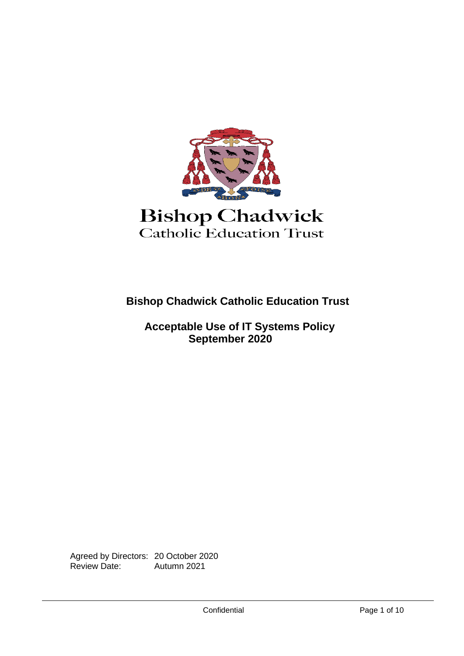

**Bishop Chadwick Catholic Education Trust**

 **Acceptable Use of IT Systems Policy September 2020**

Agreed by Directors: 20 October 2020<br>Review Date: Autumn 2021 Autumn 2021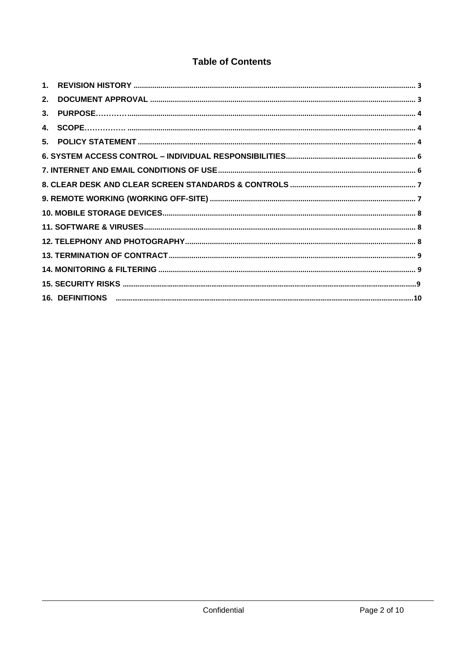## **Table of Contents**

| 2. |  |
|----|--|
|    |  |
|    |  |
|    |  |
|    |  |
|    |  |
|    |  |
|    |  |
|    |  |
|    |  |
|    |  |
|    |  |
|    |  |
|    |  |
|    |  |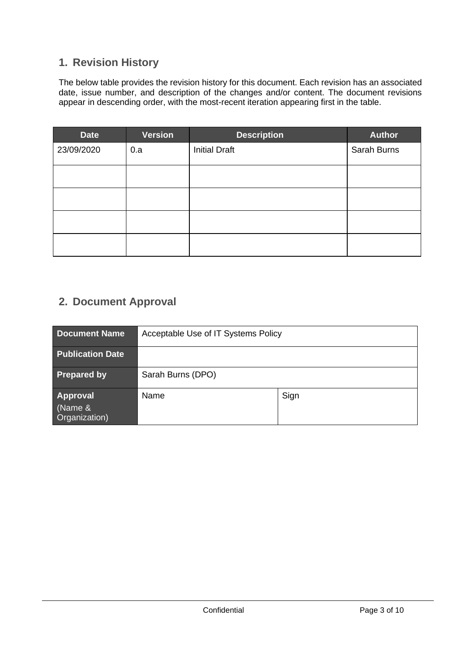# <span id="page-2-0"></span>**1. Revision History**

The below table provides the revision history for this document. Each revision has an associated date, issue number, and description of the changes and/or content. The document revisions appear in descending order, with the most-recent iteration appearing first in the table.

| <b>Date</b> | <b>Version</b> | <b>Description</b>   | <b>Author</b> |
|-------------|----------------|----------------------|---------------|
| 23/09/2020  | 0.a            | <b>Initial Draft</b> | Sarah Burns   |
|             |                |                      |               |
|             |                |                      |               |
|             |                |                      |               |
|             |                |                      |               |

## <span id="page-2-1"></span>**2. Document Approval**

| <b>Document Name</b>                        | Acceptable Use of IT Systems Policy |      |  |
|---------------------------------------------|-------------------------------------|------|--|
| <b>Publication Date</b>                     |                                     |      |  |
| <b>Prepared by</b>                          | Sarah Burns (DPO)                   |      |  |
| <b>Approval</b><br>(Name &<br>Organization) | Name                                | Sign |  |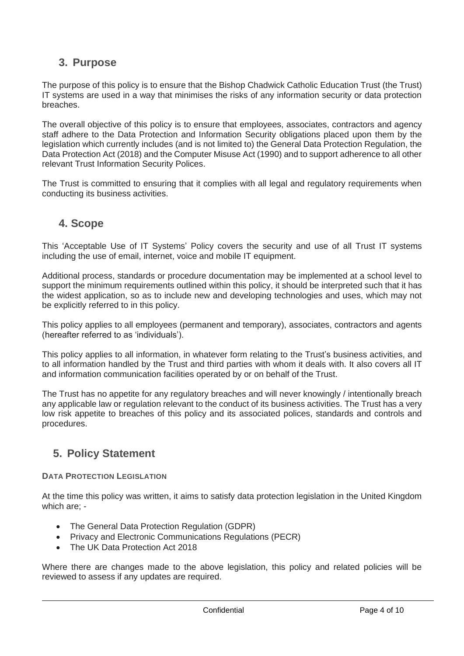## <span id="page-3-0"></span>**3. Purpose**

The purpose of this policy is to ensure that the Bishop Chadwick Catholic Education Trust (the Trust) IT systems are used in a way that minimises the risks of any information security or data protection breaches.

The overall objective of this policy is to ensure that employees, associates, contractors and agency staff adhere to the Data Protection and Information Security obligations placed upon them by the legislation which currently includes (and is not limited to) the General Data Protection Regulation, the Data Protection Act (2018) and the Computer Misuse Act (1990) and to support adherence to all other relevant Trust Information Security Polices.

<span id="page-3-1"></span>The Trust is committed to ensuring that it complies with all legal and regulatory requirements when conducting its business activities.

### **4. Scope**

This 'Acceptable Use of IT Systems' Policy covers the security and use of all Trust IT systems including the use of email, internet, voice and mobile IT equipment.

Additional process, standards or procedure documentation may be implemented at a school level to support the minimum requirements outlined within this policy, it should be interpreted such that it has the widest application, so as to include new and developing technologies and uses, which may not be explicitly referred to in this policy.

This policy applies to all employees (permanent and temporary), associates, contractors and agents (hereafter referred to as 'individuals').

This policy applies to all information, in whatever form relating to the Trust's business activities, and to all information handled by the Trust and third parties with whom it deals with. It also covers all IT and information communication facilities operated by or on behalf of the Trust.

The Trust has no appetite for any regulatory breaches and will never knowingly / intentionally breach any applicable law or regulation relevant to the conduct of its business activities. The Trust has a very low risk appetite to breaches of this policy and its associated polices, standards and controls and procedures.

# <span id="page-3-2"></span>**5. Policy Statement**

### **DATA PROTECTION LEGISLATION**

At the time this policy was written, it aims to satisfy data protection legislation in the United Kingdom which are; -

- The General Data Protection Regulation (GDPR)
- Privacy and Electronic Communications Regulations (PECR)
- The UK Data Protection Act 2018

Where there are changes made to the above legislation, this policy and related policies will be reviewed to assess if any updates are required.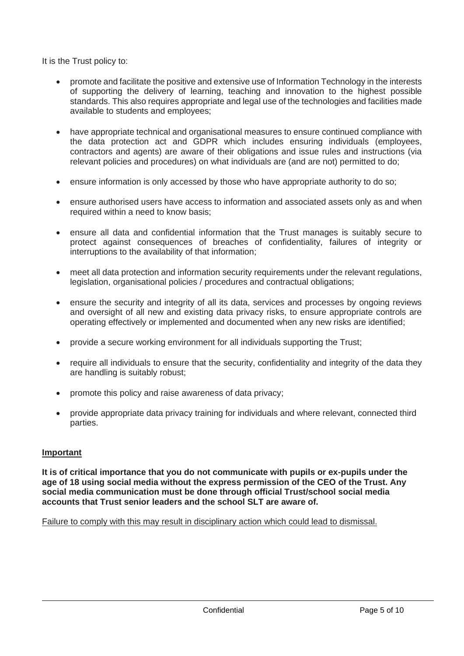It is the Trust policy to:

- promote and facilitate the positive and extensive use of Information Technology in the interests of supporting the delivery of learning, teaching and innovation to the highest possible standards. This also requires appropriate and legal use of the technologies and facilities made available to students and employees;
- have appropriate technical and organisational measures to ensure continued compliance with the data protection act and GDPR which includes ensuring individuals (employees, contractors and agents) are aware of their obligations and issue rules and instructions (via relevant policies and procedures) on what individuals are (and are not) permitted to do;
- ensure information is only accessed by those who have appropriate authority to do so:
- ensure authorised users have access to information and associated assets only as and when required within a need to know basis:
- ensure all data and confidential information that the Trust manages is suitably secure to protect against consequences of breaches of confidentiality, failures of integrity or interruptions to the availability of that information;
- meet all data protection and information security requirements under the relevant regulations, legislation, organisational policies / procedures and contractual obligations;
- ensure the security and integrity of all its data, services and processes by ongoing reviews and oversight of all new and existing data privacy risks, to ensure appropriate controls are operating effectively or implemented and documented when any new risks are identified;
- provide a secure working environment for all individuals supporting the Trust;
- require all individuals to ensure that the security, confidentiality and integrity of the data they are handling is suitably robust;
- promote this policy and raise awareness of data privacy;
- provide appropriate data privacy training for individuals and where relevant, connected third parties.

### **Important**

**It is of critical importance that you do not communicate with pupils or ex-pupils under the age of 18 using social media without the express permission of the CEO of the Trust. Any social media communication must be done through official Trust/school social media accounts that Trust senior leaders and the school SLT are aware of.**

Failure to comply with this may result in disciplinary action which could lead to dismissal.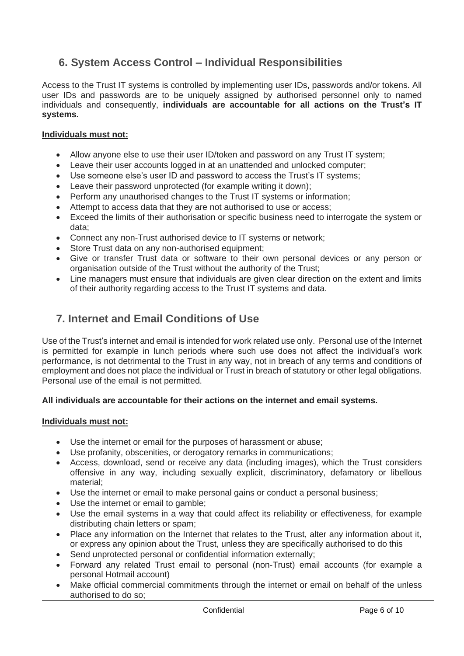# <span id="page-5-0"></span>**6. System Access Control – Individual Responsibilities**

Access to the Trust IT systems is controlled by implementing user IDs, passwords and/or tokens. All user IDs and passwords are to be uniquely assigned by authorised personnel only to named individuals and consequently, **individuals are accountable for all actions on the Trust's IT systems.**

### **Individuals must not:**

- Allow anyone else to use their user ID/token and password on any Trust IT system;
- Leave their user accounts logged in at an unattended and unlocked computer;
- Use someone else's user ID and password to access the Trust's IT systems;
- Leave their password unprotected (for example writing it down):
- Perform any unauthorised changes to the Trust IT systems or information;
- Attempt to access data that they are not authorised to use or access;
- Exceed the limits of their authorisation or specific business need to interrogate the system or data;
- Connect any non-Trust authorised device to IT systems or network;
- Store Trust data on any non-authorised equipment;
- Give or transfer Trust data or software to their own personal devices or any person or organisation outside of the Trust without the authority of the Trust;
- Line managers must ensure that individuals are given clear direction on the extent and limits of their authority regarding access to the Trust IT systems and data.

### <span id="page-5-1"></span>**7. Internet and Email Conditions of Use**

Use of the Trust's internet and email is intended for work related use only. Personal use of the Internet is permitted for example in lunch periods where such use does not affect the individual's work performance, is not detrimental to the Trust in any way, not in breach of any terms and conditions of employment and does not place the individual or Trust in breach of statutory or other legal obligations. Personal use of the email is not permitted.

### **All individuals are accountable for their actions on the internet and email systems.**

### **Individuals must not:**

- Use the internet or email for the purposes of harassment or abuse;
- Use profanity, obscenities, or derogatory remarks in communications;
- Access, download, send or receive any data (including images), which the Trust considers offensive in any way, including sexually explicit, discriminatory, defamatory or libellous material;
- Use the internet or email to make personal gains or conduct a personal business;
- Use the internet or email to gamble;
- Use the email systems in a way that could affect its reliability or effectiveness, for example distributing chain letters or spam;
- Place any information on the Internet that relates to the Trust, alter any information about it, or express any opinion about the Trust, unless they are specifically authorised to do this
- Send unprotected personal or confidential information externally;
- Forward any related Trust email to personal (non-Trust) email accounts (for example a personal Hotmail account)
- Make official commercial commitments through the internet or email on behalf of the unless authorised to do so;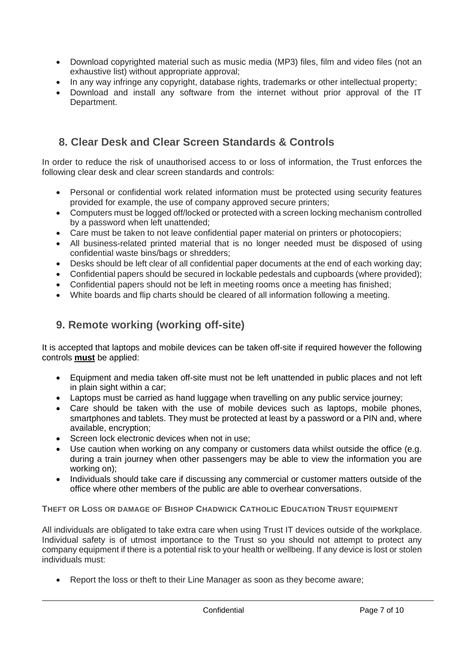- Download copyrighted material such as music media (MP3) files, film and video files (not an exhaustive list) without appropriate approval;
- In any way infringe any copyright, database rights, trademarks or other intellectual property;
- Download and install any software from the internet without prior approval of the IT Department.

## <span id="page-6-0"></span>**8. Clear Desk and Clear Screen Standards & Controls**

In order to reduce the risk of unauthorised access to or loss of information, the Trust enforces the following clear desk and clear screen standards and controls:

- Personal or confidential work related information must be protected using security features provided for example, the use of company approved secure printers;
- Computers must be logged off/locked or protected with a screen locking mechanism controlled by a password when left unattended;
- Care must be taken to not leave confidential paper material on printers or photocopiers;
- All business-related printed material that is no longer needed must be disposed of using confidential waste bins/bags or shredders;
- Desks should be left clear of all confidential paper documents at the end of each working day;
- Confidential papers should be secured in lockable pedestals and cupboards (where provided);
- Confidential papers should not be left in meeting rooms once a meeting has finished;
- <span id="page-6-1"></span>• White boards and flip charts should be cleared of all information following a meeting.

## **9. Remote working (working off-site)**

It is accepted that laptops and mobile devices can be taken off-site if required however the following controls **must** be applied:

- Equipment and media taken off-site must not be left unattended in public places and not left in plain sight within a car;
- Laptops must be carried as hand luggage when travelling on any public service journey;
- Care should be taken with the use of mobile devices such as laptops, mobile phones, smartphones and tablets. They must be protected at least by a password or a PIN and, where available, encryption;
- Screen lock electronic devices when not in use;
- Use caution when working on any company or customers data whilst outside the office (e.g. during a train journey when other passengers may be able to view the information you are working on);
- Individuals should take care if discussing any commercial or customer matters outside of the office where other members of the public are able to overhear conversations.

**THEFT OR LOSS OR DAMAGE OF BISHOP CHADWICK CATHOLIC EDUCATION TRUST EQUIPMENT**

All individuals are obligated to take extra care when using Trust IT devices outside of the workplace. Individual safety is of utmost importance to the Trust so you should not attempt to protect any company equipment if there is a potential risk to your health or wellbeing. If any device is lost or stolen individuals must:

• Report the loss or theft to their Line Manager as soon as they become aware;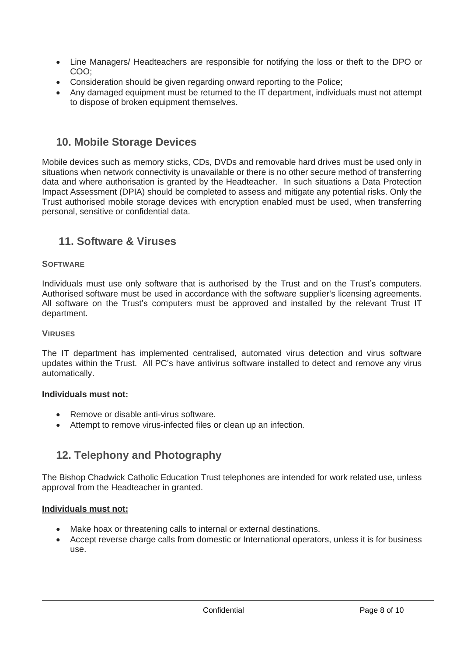- Line Managers/ Headteachers are responsible for notifying the loss or theft to the DPO or COO;
- Consideration should be given regarding onward reporting to the Police;
- Any damaged equipment must be returned to the IT department, individuals must not attempt to dispose of broken equipment themselves.

### <span id="page-7-0"></span>**10. Mobile Storage Devices**

Mobile devices such as memory sticks, CDs, DVDs and removable hard drives must be used only in situations when network connectivity is unavailable or there is no other secure method of transferring data and where authorisation is granted by the Headteacher. In such situations a Data Protection Impact Assessment (DPIA) should be completed to assess and mitigate any potential risks. Only the Trust authorised mobile storage devices with encryption enabled must be used, when transferring personal, sensitive or confidential data.

### <span id="page-7-1"></span>**11. Software & Viruses**

### **SOFTWARE**

Individuals must use only software that is authorised by the Trust and on the Trust's computers. Authorised software must be used in accordance with the software supplier's licensing agreements. All software on the Trust's computers must be approved and installed by the relevant Trust IT department.

### **VIRUSES**

The IT department has implemented centralised, automated virus detection and virus software updates within the Trust. All PC's have antivirus software installed to detect and remove any virus automatically.

### **Individuals must not:**

- Remove or disable anti-virus software.
- <span id="page-7-2"></span>• Attempt to remove virus-infected files or clean up an infection.

## **12. Telephony and Photography**

The Bishop Chadwick Catholic Education Trust telephones are intended for work related use, unless approval from the Headteacher in granted.

### **Individuals must not:**

- Make hoax or threatening calls to internal or external destinations.
- Accept reverse charge calls from domestic or International operators, unless it is for business use.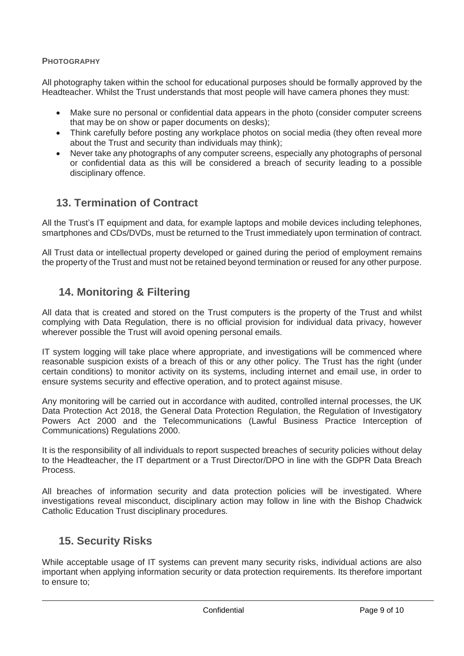### **PHOTOGRAPHY**

All photography taken within the school for educational purposes should be formally approved by the Headteacher. Whilst the Trust understands that most people will have camera phones they must:

- Make sure no personal or confidential data appears in the photo (consider computer screens that may be on show or paper documents on desks);
- Think carefully before posting any workplace photos on social media (they often reveal more about the Trust and security than individuals may think);
- Never take any photographs of any computer screens, especially any photographs of personal or confidential data as this will be considered a breach of security leading to a possible disciplinary offence.

## <span id="page-8-0"></span>**13. Termination of Contract**

All the Trust's IT equipment and data, for example laptops and mobile devices including telephones, smartphones and CDs/DVDs, must be returned to the Trust immediately upon termination of contract.

<span id="page-8-1"></span>All Trust data or intellectual property developed or gained during the period of employment remains the property of the Trust and must not be retained beyond termination or reused for any other purpose.

### **14. Monitoring & Filtering**

All data that is created and stored on the Trust computers is the property of the Trust and whilst complying with Data Regulation, there is no official provision for individual data privacy, however wherever possible the Trust will avoid opening personal emails.

IT system logging will take place where appropriate, and investigations will be commenced where reasonable suspicion exists of a breach of this or any other policy. The Trust has the right (under certain conditions) to monitor activity on its systems, including internet and email use, in order to ensure systems security and effective operation, and to protect against misuse.

Any monitoring will be carried out in accordance with audited, controlled internal processes, the UK Data Protection Act 2018, the General Data Protection Regulation, the Regulation of Investigatory Powers Act 2000 and the Telecommunications (Lawful Business Practice Interception of Communications) Regulations 2000.

It is the responsibility of all individuals to report suspected breaches of security policies without delay to the Headteacher, the IT department or a Trust Director/DPO in line with the GDPR Data Breach Process.

All breaches of information security and data protection policies will be investigated. Where investigations reveal misconduct, disciplinary action may follow in line with the Bishop Chadwick Catholic Education Trust disciplinary procedures.

### <span id="page-8-2"></span>**15. Security Risks**

While acceptable usage of IT systems can prevent many security risks, individual actions are also important when applying information security or data protection requirements. Its therefore important to ensure to;